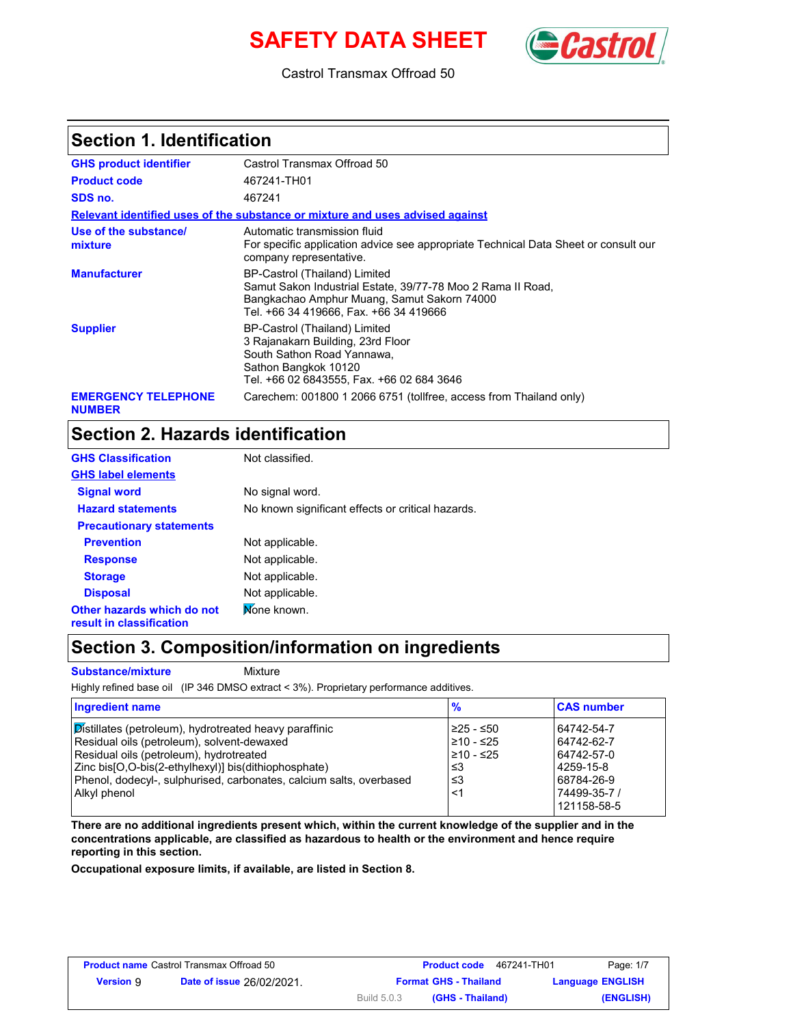# **SAFETY DATA SHEET** (Castro



Castrol Transmax Offroad 50

#### **Section 1. Identification**

| <b>GHS product identifier</b>               | Castrol Transmax Offroad 50                                                                                                                                                           |
|---------------------------------------------|---------------------------------------------------------------------------------------------------------------------------------------------------------------------------------------|
| <b>Product code</b>                         | 467241-TH01                                                                                                                                                                           |
| SDS no.                                     | 467241                                                                                                                                                                                |
|                                             | Relevant identified uses of the substance or mixture and uses advised against                                                                                                         |
| Use of the substance/<br>mixture            | Automatic transmission fluid<br>For specific application advice see appropriate Technical Data Sheet or consult our<br>company representative.                                        |
| <b>Manufacturer</b>                         | BP-Castrol (Thailand) Limited<br>Samut Sakon Industrial Estate, 39/77-78 Moo 2 Rama II Road,<br>Bangkachao Amphur Muang, Samut Sakorn 74000<br>Tel. +66 34 419666. Fax. +66 34 419666 |
| <b>Supplier</b>                             | BP-Castrol (Thailand) Limited<br>3 Rajanakarn Building, 23rd Floor<br>South Sathon Road Yannawa,<br>Sathon Bangkok 10120<br>Tel. +66 02 6843555, Fax. +66 02 684 3646                 |
| <b>EMERGENCY TELEPHONE</b><br><b>NUMBER</b> | Carechem: 001800 1 2066 6751 (tollfree, access from Thailand only)                                                                                                                    |

## **Section 2. Hazards identification**

| <b>GHS Classification</b>                              | Not classified.                                   |
|--------------------------------------------------------|---------------------------------------------------|
| <b>GHS label elements</b>                              |                                                   |
| <b>Signal word</b>                                     | No signal word.                                   |
| <b>Hazard statements</b>                               | No known significant effects or critical hazards. |
| <b>Precautionary statements</b>                        |                                                   |
| <b>Prevention</b>                                      | Not applicable.                                   |
| <b>Response</b>                                        | Not applicable.                                   |
| <b>Storage</b>                                         | Not applicable.                                   |
| <b>Disposal</b>                                        | Not applicable.                                   |
| Other hazards which do not<br>result in classification | Mone known.                                       |

### **Section 3. Composition/information on ingredients**

**Substance/mixture** Mixture

Highly refined base oil (IP 346 DMSO extract < 3%). Proprietary performance additives.

| <b>Ingredient name</b>                                              | $\frac{9}{6}$ | <b>CAS number</b> |
|---------------------------------------------------------------------|---------------|-------------------|
| Distillates (petroleum), hydrotreated heavy paraffinic              | 225 - ≤50     | 64742-54-7        |
| Residual oils (petroleum), solvent-dewaxed                          | $≥10 - ≤25$   | 64742-62-7        |
| Residual oils (petroleum), hydrotreated                             | l≥10 - ≤25    | 64742-57-0        |
| Zinc bis [O, O-bis (2-ethylhexyl)] bis (dithiophosphate)            | ו≥ ≤          | 4259-15-8         |
| Phenol, dodecyl-, sulphurised, carbonates, calcium salts, overbased | ו≥≥           | 68784-26-9        |
| Alkyl phenol                                                        | <1            | 74499-35-7 /      |
|                                                                     |               | 121158-58-5       |

**There are no additional ingredients present which, within the current knowledge of the supplier and in the concentrations applicable, are classified as hazardous to health or the environment and hence require reporting in this section.**

**Occupational exposure limits, if available, are listed in Section 8.**

| <b>Product name Castrol Transmax Offroad 50</b> |                                  |                    | 467241-TH01<br><b>Product code</b> | Page: 1/7               |
|-------------------------------------------------|----------------------------------|--------------------|------------------------------------|-------------------------|
| <b>Version 9</b>                                | <b>Date of issue 26/02/2021.</b> |                    | <b>Format GHS - Thailand</b>       | <b>Language ENGLISH</b> |
|                                                 |                                  | <b>Build 5.0.3</b> | (GHS - Thailand)                   | (ENGLISH)               |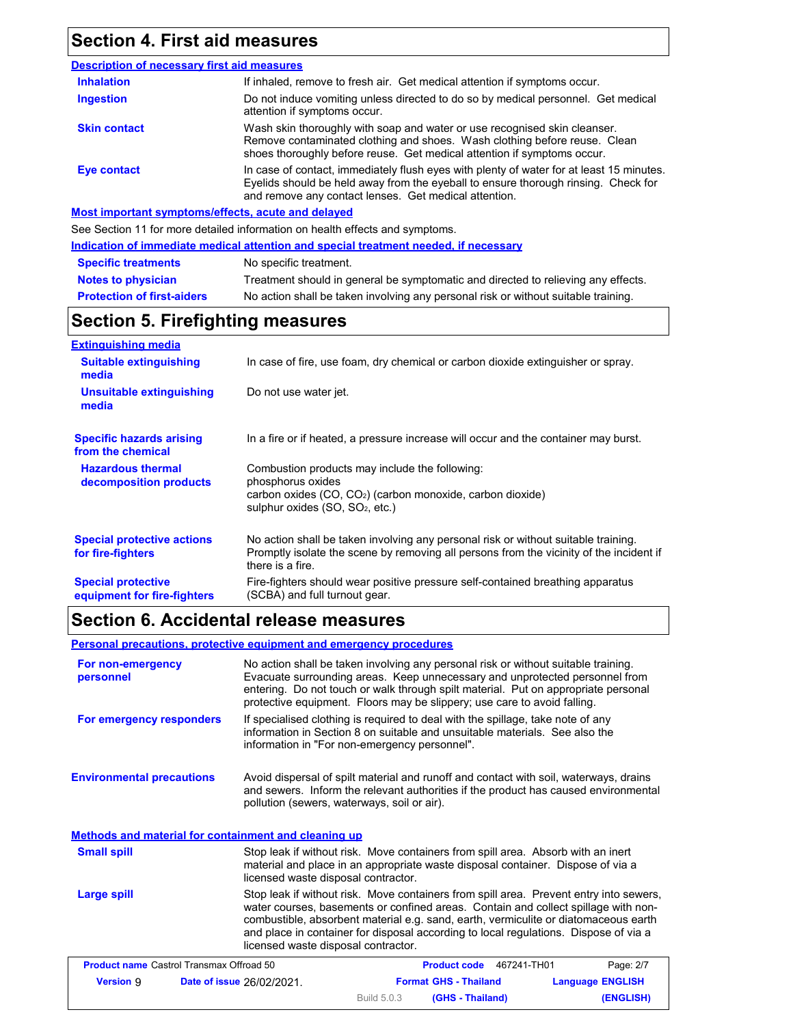## **Section 4. First aid measures**

#### **Description of necessary first aid measures Most important symptoms/effects, acute and delayed** In case of contact, immediately flush eyes with plenty of water for at least 15 minutes. Eyelids should be held away from the eyeball to ensure thorough rinsing. Check for and remove any contact lenses. Get medical attention. **Eye contact Skin contact** Wash skin thoroughly with soap and water or use recognised skin cleanser. Remove contaminated clothing and shoes. Wash clothing before reuse. Clean shoes thoroughly before reuse. Get medical attention if symptoms occur. Do not induce vomiting unless directed to do so by medical personnel. Get medical attention if symptoms occur. **Inhalation** If inhaled, remove to fresh air. Get medical attention if symptoms occur. **Ingestion**

See Section 11 for more detailed information on health effects and symptoms.

| Indication of immediate medical attention and special treatment needed, if necessary |                                                                                    |  |
|--------------------------------------------------------------------------------------|------------------------------------------------------------------------------------|--|
| <b>Specific treatments</b>                                                           | No specific treatment.                                                             |  |
| <b>Notes to physician</b>                                                            | Treatment should in general be symptomatic and directed to relieving any effects.  |  |
| <b>Protection of first-aiders</b>                                                    | No action shall be taken involving any personal risk or without suitable training. |  |

## **Section 5. Firefighting measures**

| <b>Extinguishing media</b>                               |                                                                                                                                                                                                   |
|----------------------------------------------------------|---------------------------------------------------------------------------------------------------------------------------------------------------------------------------------------------------|
| <b>Suitable extinguishing</b><br>media                   | In case of fire, use foam, dry chemical or carbon dioxide extinguisher or spray.                                                                                                                  |
| Unsuitable extinguishing<br>media                        | Do not use water jet.                                                                                                                                                                             |
| <b>Specific hazards arising</b><br>from the chemical     | In a fire or if heated, a pressure increase will occur and the container may burst.                                                                                                               |
| <b>Hazardous thermal</b><br>decomposition products       | Combustion products may include the following:<br>phosphorus oxides                                                                                                                               |
|                                                          | carbon oxides $(CO, CO2)$ (carbon monoxide, carbon dioxide)<br>sulphur oxides $(SO, SO2, etc.)$                                                                                                   |
| <b>Special protective actions</b><br>for fire-fighters   | No action shall be taken involving any personal risk or without suitable training.<br>Promptly isolate the scene by removing all persons from the vicinity of the incident if<br>there is a fire. |
| <b>Special protective</b><br>equipment for fire-fighters | Fire-fighters should wear positive pressure self-contained breathing apparatus<br>(SCBA) and full turnout gear.                                                                                   |

## **Section 6. Accidental release measures**

**Personal precautions, protective equipment and emergency procedures**

| For non-emergency<br>personnel                  |                                                      | No action shall be taken involving any personal risk or without suitable training.<br>Evacuate surrounding areas. Keep unnecessary and unprotected personnel from<br>entering. Do not touch or walk through spilt material. Put on appropriate personal<br>protective equipment. Floors may be slippery; use care to avoid falling.                         |                         |  |
|-------------------------------------------------|------------------------------------------------------|-------------------------------------------------------------------------------------------------------------------------------------------------------------------------------------------------------------------------------------------------------------------------------------------------------------------------------------------------------------|-------------------------|--|
| For emergency responders                        | information in "For non-emergency personnel".        | If specialised clothing is required to deal with the spillage, take note of any<br>information in Section 8 on suitable and unsuitable materials. See also the                                                                                                                                                                                              |                         |  |
| <b>Environmental precautions</b>                | pollution (sewers, waterways, soil or air).          | Avoid dispersal of spilt material and runoff and contact with soil, waterways, drains<br>and sewers. Inform the relevant authorities if the product has caused environmental                                                                                                                                                                                |                         |  |
|                                                 | Methods and material for containment and cleaning up |                                                                                                                                                                                                                                                                                                                                                             |                         |  |
| <b>Small spill</b>                              | licensed waste disposal contractor.                  | Stop leak if without risk. Move containers from spill area. Absorb with an inert<br>material and place in an appropriate waste disposal container. Dispose of via a                                                                                                                                                                                         |                         |  |
| Large spill                                     | licensed waste disposal contractor.                  | Stop leak if without risk. Move containers from spill area. Prevent entry into sewers,<br>water courses, basements or confined areas. Contain and collect spillage with non-<br>combustible, absorbent material e.g. sand, earth, vermiculite or diatomaceous earth<br>and place in container for disposal according to local regulations. Dispose of via a |                         |  |
| <b>Product name Castrol Transmax Offroad 50</b> |                                                      | Product code 467241-TH01                                                                                                                                                                                                                                                                                                                                    | Page: 2/7               |  |
| <b>Version 9</b>                                | Date of issue 26/02/2021.                            | <b>Format GHS - Thailand</b>                                                                                                                                                                                                                                                                                                                                | <b>Language ENGLISH</b> |  |

Build 5.0.3

**(GHS - Thailand) (ENGLISH)**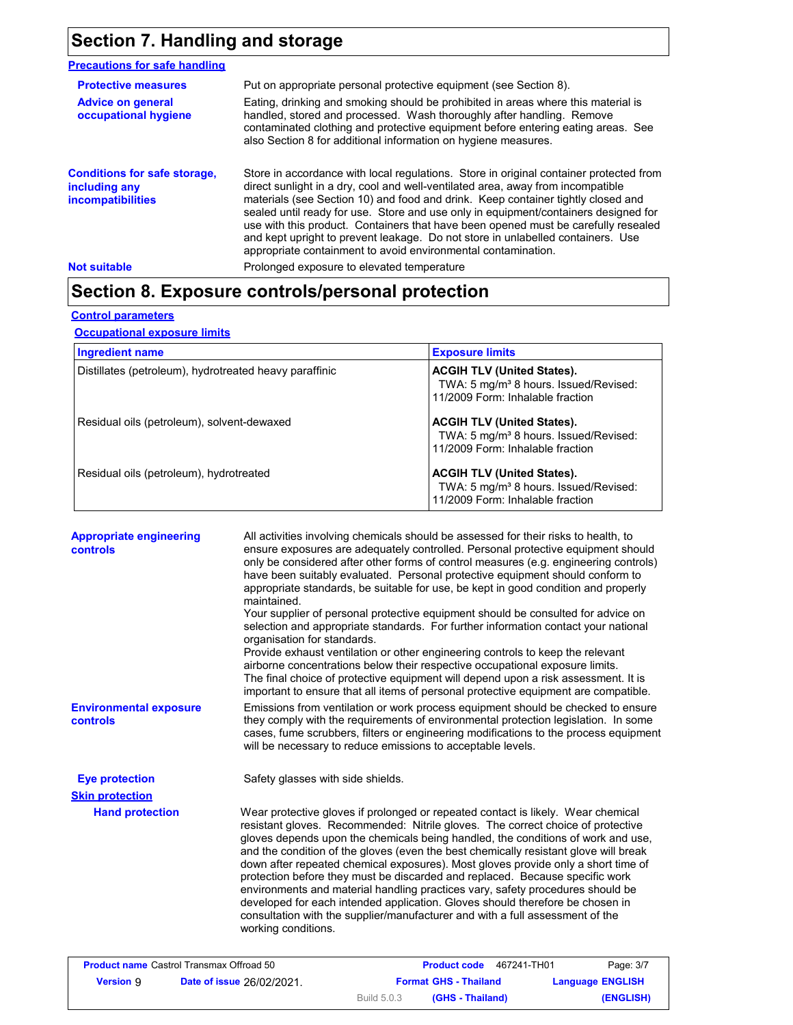## **Section 7. Handling and storage**

#### **Precautions for safe handling**

| <b>Protective measures</b><br><b>Advice on general</b><br>occupational hygiene   | Put on appropriate personal protective equipment (see Section 8).<br>Eating, drinking and smoking should be prohibited in areas where this material is<br>handled, stored and processed. Wash thoroughly after handling. Remove<br>contaminated clothing and protective equipment before entering eating areas. See<br>also Section 8 for additional information on hygiene measures.                                                                                                                                                                                                          |
|----------------------------------------------------------------------------------|------------------------------------------------------------------------------------------------------------------------------------------------------------------------------------------------------------------------------------------------------------------------------------------------------------------------------------------------------------------------------------------------------------------------------------------------------------------------------------------------------------------------------------------------------------------------------------------------|
| <b>Conditions for safe storage,</b><br>including any<br><b>incompatibilities</b> | Store in accordance with local regulations. Store in original container protected from<br>direct sunlight in a dry, cool and well-ventilated area, away from incompatible<br>materials (see Section 10) and food and drink. Keep container tightly closed and<br>sealed until ready for use. Store and use only in equipment/containers designed for<br>use with this product. Containers that have been opened must be carefully resealed<br>and kept upright to prevent leakage. Do not store in unlabelled containers. Use<br>appropriate containment to avoid environmental contamination. |
| <b>Not suitable</b>                                                              | Prolonged exposure to elevated temperature                                                                                                                                                                                                                                                                                                                                                                                                                                                                                                                                                     |

## **Section 8. Exposure controls/personal protection**

#### **Control parameters**

**Occupational exposure limits**

| Ingredient name                                        | <b>Exposure limits</b>                                                                                                     |
|--------------------------------------------------------|----------------------------------------------------------------------------------------------------------------------------|
| Distillates (petroleum), hydrotreated heavy paraffinic | <b>ACGIH TLV (United States).</b><br>TWA: 5 mg/m <sup>3</sup> 8 hours. Issued/Revised:<br>11/2009 Form: Inhalable fraction |
| Residual oils (petroleum), solvent-dewaxed             | <b>ACGIH TLV (United States).</b><br>TWA: 5 mg/m <sup>3</sup> 8 hours. Issued/Revised:<br>11/2009 Form: Inhalable fraction |
| Residual oils (petroleum), hydrotreated                | <b>ACGIH TLV (United States).</b><br>TWA: 5 mg/m <sup>3</sup> 8 hours. Issued/Revised:<br>11/2009 Form: Inhalable fraction |

| <b>Appropriate engineering</b><br><b>controls</b> | All activities involving chemicals should be assessed for their risks to health, to<br>ensure exposures are adequately controlled. Personal protective equipment should<br>only be considered after other forms of control measures (e.g. engineering controls)<br>have been suitably evaluated. Personal protective equipment should conform to<br>appropriate standards, be suitable for use, be kept in good condition and properly<br>maintained.<br>Your supplier of personal protective equipment should be consulted for advice on<br>selection and appropriate standards. For further information contact your national<br>organisation for standards.<br>Provide exhaust ventilation or other engineering controls to keep the relevant<br>airborne concentrations below their respective occupational exposure limits.<br>The final choice of protective equipment will depend upon a risk assessment. It is<br>important to ensure that all items of personal protective equipment are compatible. |
|---------------------------------------------------|---------------------------------------------------------------------------------------------------------------------------------------------------------------------------------------------------------------------------------------------------------------------------------------------------------------------------------------------------------------------------------------------------------------------------------------------------------------------------------------------------------------------------------------------------------------------------------------------------------------------------------------------------------------------------------------------------------------------------------------------------------------------------------------------------------------------------------------------------------------------------------------------------------------------------------------------------------------------------------------------------------------|
| <b>Environmental exposure</b><br>controls         | Emissions from ventilation or work process equipment should be checked to ensure<br>they comply with the requirements of environmental protection legislation. In some<br>cases, fume scrubbers, filters or engineering modifications to the process equipment<br>will be necessary to reduce emissions to acceptable levels.                                                                                                                                                                                                                                                                                                                                                                                                                                                                                                                                                                                                                                                                                 |
| <b>Eye protection</b>                             | Safety glasses with side shields.                                                                                                                                                                                                                                                                                                                                                                                                                                                                                                                                                                                                                                                                                                                                                                                                                                                                                                                                                                             |
| <b>Skin protection</b>                            |                                                                                                                                                                                                                                                                                                                                                                                                                                                                                                                                                                                                                                                                                                                                                                                                                                                                                                                                                                                                               |
| <b>Hand protection</b>                            | Wear protective gloves if prolonged or repeated contact is likely. Wear chemical<br>resistant gloves. Recommended: Nitrile gloves. The correct choice of protective<br>gloves depends upon the chemicals being handled, the conditions of work and use,<br>and the condition of the gloves (even the best chemically resistant glove will break<br>down after repeated chemical exposures). Most gloves provide only a short time of<br>protection before they must be discarded and replaced. Because specific work<br>environments and material handling practices vary, safety procedures should be<br>developed for each intended application. Gloves should therefore be chosen in<br>consultation with the supplier/manufacturer and with a full assessment of the<br>working conditions.                                                                                                                                                                                                               |
| <b>Product name Castrol Transmax Offroad 50</b>   | 467241-TH01<br>Page: 3/7<br><b>Product code</b>                                                                                                                                                                                                                                                                                                                                                                                                                                                                                                                                                                                                                                                                                                                                                                                                                                                                                                                                                               |

|                  | <b>Product name Castrol Transmax Offroad 50</b> |                    | 467241-TH01<br><b>Product code</b> | Page: 3/7               |
|------------------|-------------------------------------------------|--------------------|------------------------------------|-------------------------|
| <b>Version 9</b> | <b>Date of issue 26/02/2021.</b>                |                    | <b>Format GHS - Thailand</b>       | <b>Language ENGLISH</b> |
|                  |                                                 | <b>Build 5.0.3</b> | (GHS - Thailand)                   | (ENGLISH)               |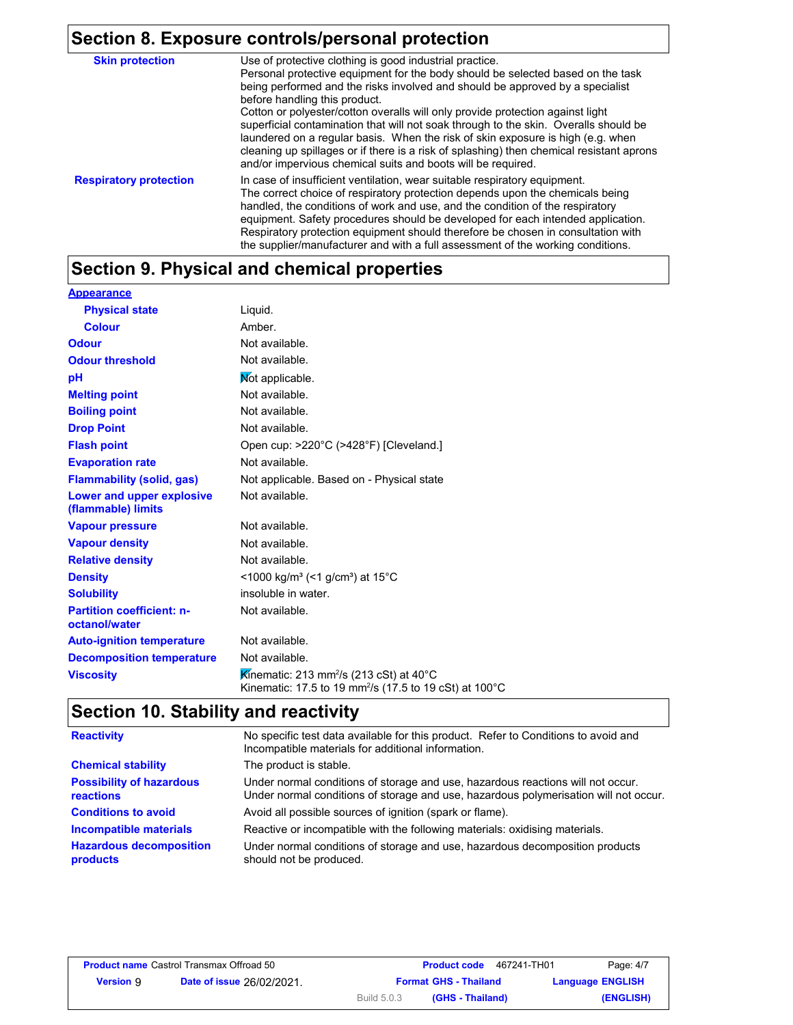# **Section 8. Exposure controls/personal protection**

| <b>Skin protection</b>        | Use of protective clothing is good industrial practice.                                                                                                                                                                                                                                                                                                                                                                                                                                                                                                                                                                    |
|-------------------------------|----------------------------------------------------------------------------------------------------------------------------------------------------------------------------------------------------------------------------------------------------------------------------------------------------------------------------------------------------------------------------------------------------------------------------------------------------------------------------------------------------------------------------------------------------------------------------------------------------------------------------|
|                               | Personal protective equipment for the body should be selected based on the task<br>being performed and the risks involved and should be approved by a specialist<br>before handling this product.<br>Cotton or polyester/cotton overalls will only provide protection against light<br>superficial contamination that will not soak through to the skin. Overalls should be<br>laundered on a regular basis. When the risk of skin exposure is high (e.g. when<br>cleaning up spillages or if there is a risk of splashing) then chemical resistant aprons<br>and/or impervious chemical suits and boots will be required. |
| <b>Respiratory protection</b> | In case of insufficient ventilation, wear suitable respiratory equipment.<br>The correct choice of respiratory protection depends upon the chemicals being<br>handled, the conditions of work and use, and the condition of the respiratory<br>equipment. Safety procedures should be developed for each intended application.<br>Respiratory protection equipment should therefore be chosen in consultation with<br>the supplier/manufacturer and with a full assessment of the working conditions.                                                                                                                      |

## **Section 9. Physical and chemical properties**

| <b>Appearance</b>                                 |                                                                                                                                         |
|---------------------------------------------------|-----------------------------------------------------------------------------------------------------------------------------------------|
| <b>Physical state</b>                             | Liquid.                                                                                                                                 |
| <b>Colour</b>                                     | Amber.                                                                                                                                  |
| <b>Odour</b>                                      | Not available.                                                                                                                          |
| <b>Odour threshold</b>                            | Not available.                                                                                                                          |
| рH                                                | Not applicable.                                                                                                                         |
| <b>Melting point</b>                              | Not available.                                                                                                                          |
| <b>Boiling point</b>                              | Not available.                                                                                                                          |
| <b>Drop Point</b>                                 | Not available.                                                                                                                          |
| <b>Flash point</b>                                | Open cup: >220°C (>428°F) [Cleveland.]                                                                                                  |
| <b>Evaporation rate</b>                           | Not available.                                                                                                                          |
| <b>Flammability (solid, gas)</b>                  | Not applicable. Based on - Physical state                                                                                               |
| Lower and upper explosive<br>(flammable) limits   | Not available.                                                                                                                          |
| <b>Vapour pressure</b>                            | Not available.                                                                                                                          |
| <b>Vapour density</b>                             | Not available.                                                                                                                          |
| <b>Relative density</b>                           | Not available.                                                                                                                          |
| <b>Density</b>                                    | <1000 kg/m <sup>3</sup> (<1 g/cm <sup>3</sup> ) at 15 <sup>°</sup> C                                                                    |
| <b>Solubility</b>                                 | insoluble in water.                                                                                                                     |
| <b>Partition coefficient: n-</b><br>octanol/water | Not available.                                                                                                                          |
| <b>Auto-ignition temperature</b>                  | Not available.                                                                                                                          |
| <b>Decomposition temperature</b>                  | Not available.                                                                                                                          |
| <b>Viscositv</b>                                  | Kinematic: 213 mm <sup>2</sup> /s (213 cSt) at 40 <sup>°</sup> C<br>Kinematic: 17.5 to 19 mm <sup>2</sup> /s (17.5 to 19 cSt) at 100 °C |

## **Section 10. Stability and reactivity**

| <b>Reactivity</b>                                   | No specific test data available for this product. Refer to Conditions to avoid and<br>Incompatible materials for additional information.                                |
|-----------------------------------------------------|-------------------------------------------------------------------------------------------------------------------------------------------------------------------------|
| <b>Chemical stability</b>                           | The product is stable.                                                                                                                                                  |
| <b>Possibility of hazardous</b><br><b>reactions</b> | Under normal conditions of storage and use, hazardous reactions will not occur.<br>Under normal conditions of storage and use, hazardous polymerisation will not occur. |
| <b>Conditions to avoid</b>                          | Avoid all possible sources of ignition (spark or flame).                                                                                                                |
| Incompatible materials                              | Reactive or incompatible with the following materials: oxidising materials.                                                                                             |
| <b>Hazardous decomposition</b><br>products          | Under normal conditions of storage and use, hazardous decomposition products<br>should not be produced.                                                                 |

|                  | <b>Product name Castrol Transmax Offroad 50</b> |                    | 467241-TH01<br><b>Product code</b> | Page: 4/7               |
|------------------|-------------------------------------------------|--------------------|------------------------------------|-------------------------|
| <b>Version</b> 9 | <b>Date of issue 26/02/2021.</b>                |                    | <b>Format GHS - Thailand</b>       | <b>Language ENGLISH</b> |
|                  |                                                 | <b>Build 5.0.3</b> | (GHS - Thailand)                   | (ENGLISH)               |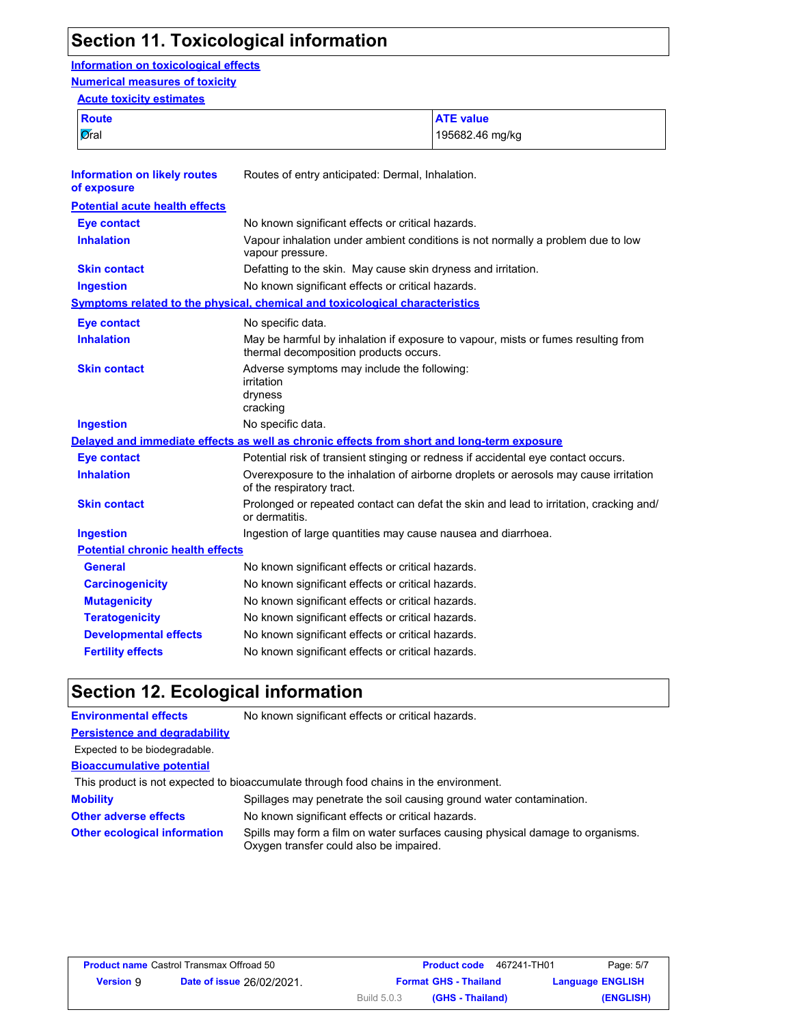## **Section 11. Toxicological information**

#### **Information on toxicological effects Numerical measures of toxicity**

#### **Acute toxicity estimates**

| Route | <b>ATE</b> value |
|-------|------------------|
| Øral  | 195682.46 mg/kg  |

| <b>Information on likely routes</b><br>of exposure | Routes of entry anticipated: Dermal, Inhalation.                                                                            |
|----------------------------------------------------|-----------------------------------------------------------------------------------------------------------------------------|
| <b>Potential acute health effects</b>              |                                                                                                                             |
| <b>Eye contact</b>                                 | No known significant effects or critical hazards.                                                                           |
| <b>Inhalation</b>                                  | Vapour inhalation under ambient conditions is not normally a problem due to low<br>vapour pressure.                         |
| <b>Skin contact</b>                                | Defatting to the skin. May cause skin dryness and irritation.                                                               |
| <b>Ingestion</b>                                   | No known significant effects or critical hazards.                                                                           |
|                                                    | <b>Symptoms related to the physical, chemical and toxicological characteristics</b>                                         |
| <b>Eye contact</b>                                 | No specific data.                                                                                                           |
| <b>Inhalation</b>                                  | May be harmful by inhalation if exposure to vapour, mists or fumes resulting from<br>thermal decomposition products occurs. |
| <b>Skin contact</b>                                | Adverse symptoms may include the following:<br>irritation<br>dryness<br>cracking                                            |
| <b>Ingestion</b>                                   | No specific data.                                                                                                           |
|                                                    | Delayed and immediate effects as well as chronic effects from short and long-term exposure                                  |
| <b>Eye contact</b>                                 | Potential risk of transient stinging or redness if accidental eye contact occurs.                                           |
| <b>Inhalation</b>                                  | Overexposure to the inhalation of airborne droplets or aerosols may cause irritation<br>of the respiratory tract.           |
| <b>Skin contact</b>                                | Prolonged or repeated contact can defat the skin and lead to irritation, cracking and/<br>or dermatitis.                    |
| <b>Ingestion</b>                                   | Ingestion of large quantities may cause nausea and diarrhoea.                                                               |
| <b>Potential chronic health effects</b>            |                                                                                                                             |
| <b>General</b>                                     | No known significant effects or critical hazards.                                                                           |
| <b>Carcinogenicity</b>                             | No known significant effects or critical hazards.                                                                           |
| <b>Mutagenicity</b>                                | No known significant effects or critical hazards.                                                                           |
| <b>Teratogenicity</b>                              | No known significant effects or critical hazards.                                                                           |
| <b>Developmental effects</b>                       | No known significant effects or critical hazards.                                                                           |
| <b>Fertility effects</b>                           | No known significant effects or critical hazards.                                                                           |

## **Section 12. Ecological information**

| <b>Environmental effects</b>         | No known significant effects or critical hazards.                                                                         |
|--------------------------------------|---------------------------------------------------------------------------------------------------------------------------|
| <b>Persistence and degradability</b> |                                                                                                                           |
| Expected to be biodegradable.        |                                                                                                                           |
| <b>Bioaccumulative potential</b>     |                                                                                                                           |
|                                      | This product is not expected to bioaccumulate through food chains in the environment.                                     |
| <b>Mobility</b>                      | Spillages may penetrate the soil causing ground water contamination.                                                      |
| <b>Other adverse effects</b>         | No known significant effects or critical hazards.                                                                         |
| <b>Other ecological information</b>  | Spills may form a film on water surfaces causing physical damage to organisms.<br>Oxygen transfer could also be impaired. |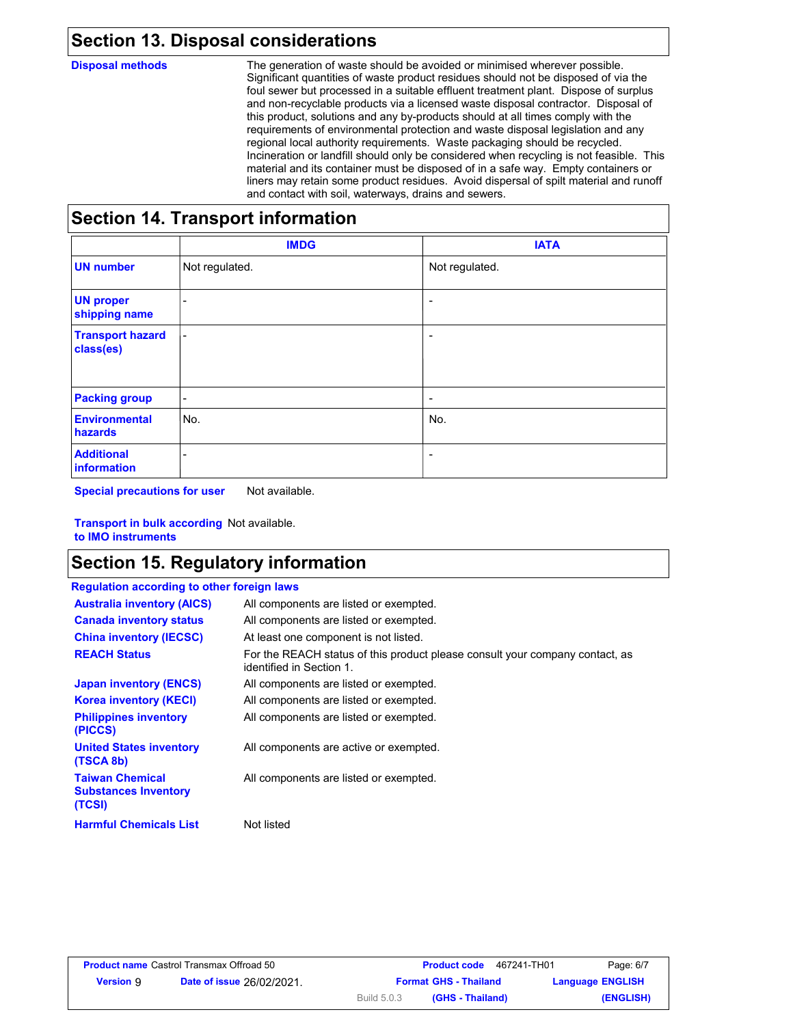## **Section 13. Disposal considerations**

**Disposal methods** The generation of waste should be avoided or minimised wherever possible. Significant quantities of waste product residues should not be disposed of via the foul sewer but processed in a suitable effluent treatment plant. Dispose of surplus and non-recyclable products via a licensed waste disposal contractor. Disposal of this product, solutions and any by-products should at all times comply with the requirements of environmental protection and waste disposal legislation and any regional local authority requirements. Waste packaging should be recycled. Incineration or landfill should only be considered when recycling is not feasible. This material and its container must be disposed of in a safe way. Empty containers or liners may retain some product residues. Avoid dispersal of spilt material and runoff and contact with soil, waterways, drains and sewers.

## **Section 14. Transport information**

|                                      | <b>IMDG</b>              | <b>IATA</b>     |
|--------------------------------------|--------------------------|-----------------|
| <b>UN number</b>                     | Not regulated.           | Not regulated.  |
| <b>UN proper</b><br>shipping name    | $\overline{\phantom{a}}$ | ٠               |
| <b>Transport hazard</b><br>class(es) | $\overline{\phantom{a}}$ | ٠               |
| <b>Packing group</b>                 | $\overline{\phantom{a}}$ | $\qquad \qquad$ |
| <b>Environmental</b><br>hazards      | No.                      | No.             |
| <b>Additional</b><br>information     | -                        | ٠               |

**Special precautions for user** Not available.

**Transport in bulk according**  Not available. **to IMO instruments**

## **Section 15. Regulatory information**

| <b>Regulation according to other foreign laws</b>               |                                                                                                          |
|-----------------------------------------------------------------|----------------------------------------------------------------------------------------------------------|
| <b>Australia inventory (AICS)</b>                               | All components are listed or exempted.                                                                   |
| <b>Canada inventory status</b>                                  | All components are listed or exempted.                                                                   |
| <b>China inventory (IECSC)</b>                                  | At least one component is not listed.                                                                    |
| <b>REACH Status</b>                                             | For the REACH status of this product please consult your company contact, as<br>identified in Section 1. |
| <b>Japan inventory (ENCS)</b>                                   | All components are listed or exempted.                                                                   |
| <b>Korea inventory (KECI)</b>                                   | All components are listed or exempted.                                                                   |
| <b>Philippines inventory</b><br>(PICCS)                         | All components are listed or exempted.                                                                   |
| <b>United States inventory</b><br>(TSCA 8b)                     | All components are active or exempted.                                                                   |
| <b>Taiwan Chemical</b><br><b>Substances Inventory</b><br>(TCSI) | All components are listed or exempted.                                                                   |
| <b>Harmful Chemicals List</b>                                   | Not listed                                                                                               |

|                  | <b>Product name Castrol Transmax Offroad 50</b> |             | <b>Product code</b>          | 467241-TH01             | Page: 6/7 |
|------------------|-------------------------------------------------|-------------|------------------------------|-------------------------|-----------|
| <b>Version 9</b> | <b>Date of issue 26/02/2021.</b>                |             | <b>Format GHS - Thailand</b> | <b>Language ENGLISH</b> |           |
|                  |                                                 | Build 5.0.3 | (GHS - Thailand)             |                         | (ENGLISH) |